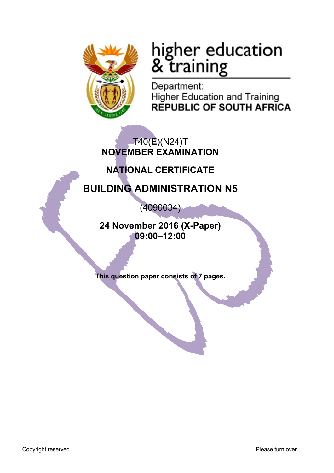

# higher education<br>& training

Department: **Higher Education and Training REPUBLIC OF SOUTH AFRICA** 

T40(**E**)(N24)T **NOVEMBER EXAMINATION**

# **NATIONAL CERTIFICATE**

# **BUILDING ADMINISTRATION N5**

(4090034)

**24 November 2016 (X-Paper) 09:00–12:00**

**This question paper consists of 7 pages.**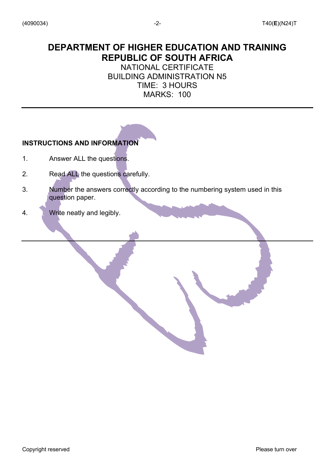# **DEPARTMENT OF HIGHER EDUCATION AND TRAINING REPUBLIC OF SOUTH AFRICA**

# NATIONAL CERTIFICATE BUILDING ADMINISTRATION N5 TIME: 3 HOURS MARKS: 100

# **INSTRUCTIONS AND INFORMATION**

- 1. Answer ALL the questions.
- 2. Read ALL the questions carefully.
- 3. Number the answers correctly according to the numbering system used in this question paper.
- 4. Write neatly and legibly.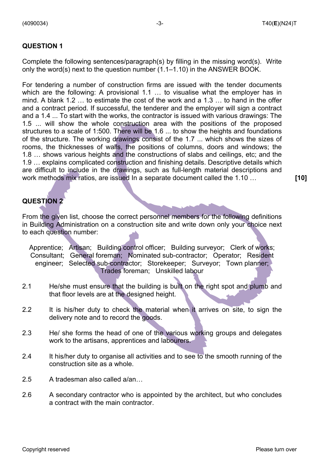Complete the following sentences/paragraph(s) by filling in the missing word(s). Write only the word(s) next to the question number (1.1–1.10) in the ANSWER BOOK.

For tendering a number of construction firms are issued with the tender documents which are the following: A provisional 1.1 ... to visualise what the employer has in mind. A blank 1.2 … to estimate the cost of the work and a 1.3 … to hand in the offer and a contract period. If successful, the tenderer and the employer will sign a contract and a 1.4 ... To start with the works, the contractor is issued with various drawings: The 1.5 ... will show the whole construction area with the positions of the proposed structures to a scale of 1:500. There will be 1.6 ... to show the heights and foundations of the structure. The working drawings consist of the 1.7 ... which shows the sizes of rooms, the thicknesses of walls, the positions of columns, doors and windows; the 1.8 … shows various heights and the constructions of slabs and ceilings, etc; and the 1.9 … explains complicated construction and finishing details. Descriptive details which are difficult to include in the drawings, such as full-length material descriptions and work methods mix ratios, are issued In a separate document called the 1.10 … **[10]**

# **QUESTION 2**

From the given list, choose the correct personnel members for the following definitions in Building Administration on a construction site and write down only your choice next to each question number:

Apprentice; Artisan; Building control officer; Building surveyor; Clerk of works; Consultant; General foreman; Nominated sub-contractor; Operator; Resident engineer; Selected sub-contractor; Storekeeper; Surveyor; Town planner; Trades foreman; Unskilled labour

- 2.1 He/she must ensure that the building is built on the right spot and plumb and that floor levels are at the designed height.
- 2.2 It is his/her duty to check the material when it arrives on site, to sign the delivery note and to record the goods.
- 2.3 He/ she forms the head of one of the various working groups and delegates work to the artisans, apprentices and labourers.
- 2.4 It his/her duty to organise all activities and to see to the smooth running of the construction site as a whole.
- 2.5 A tradesman also called a/an…
- 2.6 A secondary contractor who is appointed by the architect, but who concludes a contract with the main contractor.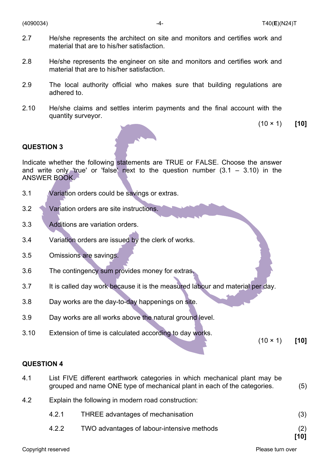- 2.7 He/she represents the architect on site and monitors and certifies work and material that are to his/her satisfaction.
- 2.8 He/she represents the engineer on site and monitors and certifies work and material that are to his/her satisfaction.
- 2.9 The local authority official who makes sure that building regulations are adhered to.
- 2.10 He/she claims and settles interim payments and the final account with the quantity surveyor.

(10 × 1) **[10]**

### **QUESTION 3**

Indicate whether the following statements are TRUE or FALSE. Choose the answer and write only 'true' or 'false' next to the question number  $(3.1 - 3.10)$  in the ANSWER BOOK.

- 3.1 Variation orders could be savings or extras.
- 3.2 Variation orders are site instructions.
- 3.3 Additions are variation orders.
- 3.4 Variation orders are issued by the clerk of works.
- 3.5 Omissions are savings.
- 3.6 The contingency sum provides money for extras.
- 3.7 It is called day work because it is the measured labour and material per day.
- 3.8 Day works are the day-to-day happenings on site.
- 3.9 Day works are all works above the natural ground level.
- 3.10 Extension of time is calculated according to day works.

(10 × 1) **[10]**

#### **QUESTION 4**

| 4.1 | List FIVE different earthwork categories in which mechanical plant may be |     |
|-----|---------------------------------------------------------------------------|-----|
|     | grouped and name ONE type of mechanical plant in each of the categories.  | (5) |
|     |                                                                           |     |

- 4.2 Explain the following in modern road construction:
	- 4.2.1 THREE advantages of mechanisation (3)
	- 4.2.2 TWO advantages of labour-intensive methods (2)

**[10]**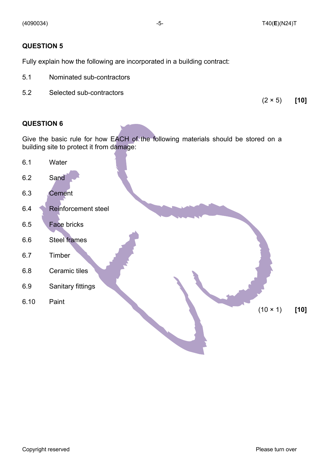Fully explain how the following are incorporated in a building contract:

- 5.1 Nominated sub-contractors
- 5.2 Selected sub-contractors

(2 × 5) **[10]**

## **QUESTION 6**

Give the basic rule for how EACH of the following materials should be stored on a building site to protect it from damage:

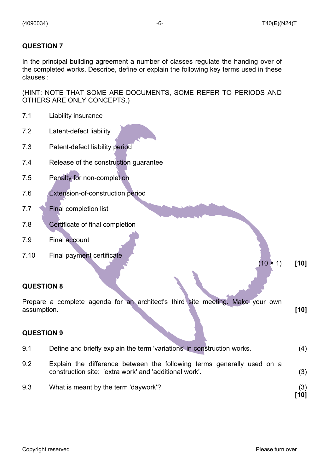In the principal building agreement a number of classes regulate the handing over of the completed works. Describe, define or explain the following key terms used in these clauses :

(HINT: NOTE THAT SOME ARE DOCUMENTS, SOME REFER TO PERIODS AND OTHERS ARE ONLY CONCEPTS.)

| 7.1               | Liability insurance                                                                                                              |        |
|-------------------|----------------------------------------------------------------------------------------------------------------------------------|--------|
| 7.2               | Latent-defect liability                                                                                                          |        |
| 7.3               | Patent-defect liability period                                                                                                   |        |
| 7.4               | Release of the construction guarantee                                                                                            |        |
| 7.5               | Penalty for non-completion                                                                                                       |        |
| 7.6               | Extension-of-construction period                                                                                                 |        |
| 7.7               | <b>Final completion list</b>                                                                                                     |        |
| 7.8               | Certificate of final completion                                                                                                  |        |
| 7.9               | <b>Final account</b>                                                                                                             |        |
| 7.10              | Final payment certificate                                                                                                        |        |
|                   | $(10 \times 1)$                                                                                                                  | $[10]$ |
| <b>QUESTION 8</b> |                                                                                                                                  |        |
| assumption.       | Prepare a complete agenda for an architect's third site meeting. Make your own                                                   | $[10]$ |
| <b>QUESTION 9</b> |                                                                                                                                  |        |
| 9.1               | Define and briefly explain the term 'variations' in construction works.                                                          | (4)    |
| 9.2               | Explain the difference between the following terms generally used on a<br>construction site: 'extra work' and 'additional work'. | (3)    |

9.3 What is meant by the term 'daywork'? (3) **[10]**